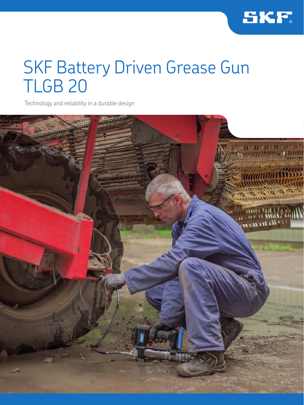

# SKF Battery Driven Grease Gun TLGB 20

Technology and reliability in a durable design

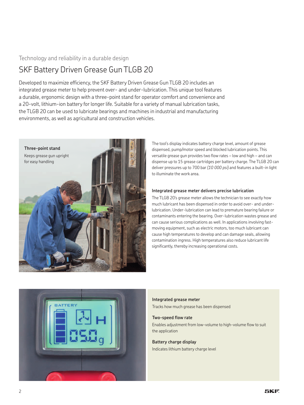## Technology and reliability in a durable design

## SKF Battery Driven Grease Gun TLGB 20

Developed to maximize efficiency, the SKF Battery Driven Grease Gun TLGB 20 includes an integrated grease meter to help prevent over- and under-lubrication. This unique tool features a durable, ergonomic design with a three-point stand for operator comfort and convenience and a 20-volt, lithium-ion battery for longer life. Suitable for a variety of manual lubrication tasks, the TLGB 20 can be used to lubricate bearings and machines in industrial and manufacturing environments, as well as agricultural and construction vehicles.



The tool's display indicates battery charge level, amount of grease dispensed, pump/motor speed and blocked lubrication points. This versatile grease gun provides two flow rates – low and high – and can dispense up to 15 grease cartridges per battery charge. The TLGB 20 can deliver pressures up to 700 bar *(10 000 psi)* and features a built-in light to illuminate the work area.

#### **Integrated grease meter delivers precise lubrication**

The TLGB 20's grease meter allows the technician to see exactly how much lubricant has been dispensed in order to avoid over- and underlubrication. Under-lubrication can lead to premature bearing failure or contaminants entering the bearing. Over-lubrication wastes grease and can cause serious complications as well. In applications involving fastmoving equipment, such as electric motors, too much lubricant can cause high temperatures to develop and can damage seals, allowing contamination ingress. High temperatures also reduce lubricant life significantly, thereby increasing operational costs.



**Integrated grease meter**  Tracks how much grease has been dispensed

#### **Two-speed flow rate**

Enables adjustment from low-volume to high-volume flow to suit the application

## **Battery charge display**

Indicates lithium battery charge level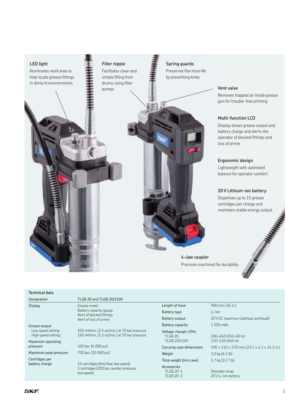

## **Spring guards** Preserves flex hose life

**Vent valve**

Removes trapped air inside grease gun for trouble-free priming

#### **Multi-function LCD**

Display shows grease output and battery charge and alerts the operator of blocked fittings and loss of prime

#### **Ergonomic design**

Lightweight with optimized balance for operator comfort

#### **20 V Lithium-ion battery**

Dispenses up to 15 grease cartridges per charge and maintains stable energy output

**4-Jaw coupler** Precision machined for durability

### **Technical data**

| Designation                                              | TLGB 20 and TLGB 20/110V                                                                      |
|----------------------------------------------------------|-----------------------------------------------------------------------------------------------|
| <b>Display</b>                                           | Grease meter<br>Battery capacity gauge<br>Alert of blocked fittings<br>Alert of loss of prime |
| Grease output<br>Low speed setting<br>High speed setting | 100 ml/min. (3.5 oz/min.) at 7<br>160 ml/min. (5.5 oz/min.) at 7                              |
| Maximum operating<br>pressure                            | 400 bar (6 000 psi)                                                                           |
| Maximum peak pressure                                    | 700 bar (10 000 psi)                                                                          |
| Cartridges per                                           |                                                                                               |

C<sub>i</sub>

oz/min.) at 70 bar pressure 160 ml/min. *(5.5 oz/min.)* at 70 bar pressure

battery charge 15 cartridges (free flow, low speed) 5 cartridges (200 bar counter pressure, low speed)

Length of hose 900 mm *(36 in.)* Battery type Li-Ion Battery capacity 1500 mAh Voltage charger, V/Hz TLGB 20 TLGB 20/110V Weight 3,0 kg *(6.5 lb)* Total weight (incl.case) 5,7 kg *(12.7 lb)* Accessories TLGB 20-1

TLGB 20-2

Battery output 20 V DC maximum (without workload) 200–240 V/50–60 Hz

110–120 V/60 Hz Carrying case dimensions 590 × 110 × 370 mm *(23.2 × 4.3 × 14.5 in.)*

> Shoulder strap 20 V Li-Ion battery